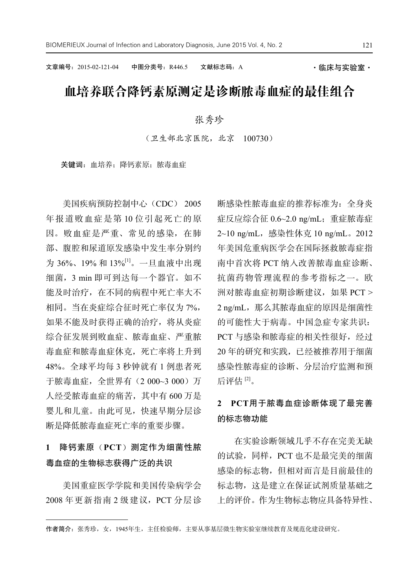文章编号: 2015-02-121-04 中图分类号: R446.5 文献标志码: A · · · · 临床与实验室 ·

# 血培养联合降钙素原测定是诊断脓毒血症的最佳组合

### 张秀珍

(卫生部北京医院,北京 100730)

关键词: 血培养;降钙素原;脓毒血症

美国疾病预防控制中心(CDC) 2005 年报道败血症是第 10 位引起死亡的原 因。败血症是严重、常见的感染,在肺 部、腹腔和尿道原发感染中发生率分别约 为 36%、19% 和 13%<sup>[1]</sup>。一旦血液中出现 细菌,3 min 即可到达每一个器官。如不 能及时治疗,在不同的病程中死亡率大不 相同。当在炎症综合征时死亡率仅为 7%, 如果不能及时获得正确的治疗,将从炎症 综合征发展到败血症、脓毒血症、严重脓 毒血症和脓毒血症休克,死亡率将上升到 48%。全球平均每 3 秒钟就有 1 例患者死 于脓毒血症,全世界有(2 000~3 000)万 人经受脓毒血症的痛苦,其中有 600 万是 婴儿和儿童。由此可见,快速早期分层诊 断是降低脓毒血症死亡率的重要步骤。

## **1** 降钙素原(**PCT**)测定作为细菌性脓 毒血症的生物标志获得广泛的共识

美国重症医学学院和美国传染病学会 2008 年更新指南 2 级建议,PCT 分层诊 断感染性脓毒血症的推荐标准为:全身炎 症反应综合征 0.6~2.0 ng/mL;重症脓毒症 2~10 ng/mL,感染性休克 10 ng/mL。2012 年美国危重病医学会在国际拯救脓毒症指 南中首次将 PCT 纳入改善脓毒血症诊断、 抗菌药物管理流程的参考指标之一。欧 洲对脓毒血症初期诊断建议,如果 PCT > 2 ng/mL, 那么其脓毒血症的原因是细菌性 的可能性大于病毒。中国急症专家共识: PCT 与感染和脓毒症的相关性很好,经过 20 年的研究和实践,已经被推荐用于细菌 感染性脓毒症的诊断、分层治疗监测和预 后评估 [2] 。

### **2 PCT**用于脓毒血症诊断体现了最完善 的标志物功能

在实验诊断领域几乎不存在完美无缺 的试验,同样,PCT 也不是最完美的细菌 感染的标志物,但相对而言是目前最佳的 标志物,这是建立在保证试剂质量基础之 上的评价。作为生物标志物应具备特异性、

作者简介:张秀珍,女,1945年生,主任检验师,主要从事基层微生物实验室继续教育及规范化建设研究。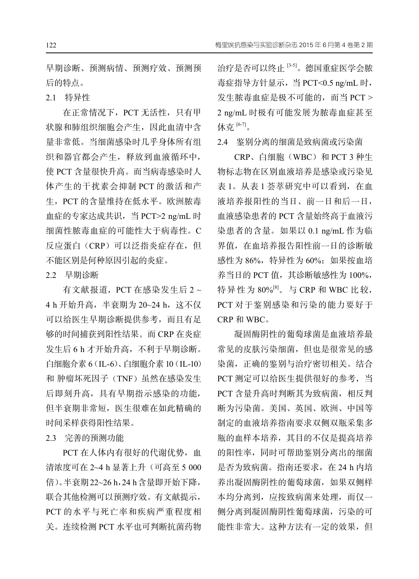早期诊断、预测病情、预测疗效、预测预 后的特点。

2.1 特异性

在正常情况下,PCT 无活性,只有甲 状腺和肺组织细胞会产生,因此血清中含 量非常低。当细菌感染时几乎身体所有组 织和器官都会产生,释放到血液循环中, 使 PCT 含量很快升高。而当病毒感染时人 体产生的干扰素会抑制 PCT 的激活和产 生,PCT 的含量维持在低水平。欧洲脓毒 血症的专家达成共识,当 PCT>2 ng/mL 时 细菌性脓毒血症的可能性大于病毒性。C 反应蛋白(CRP)可以泛指炎症存在,但 不能区别是何种原因引起的炎症。

2.2 早期诊断

有文献报道,PCT 在感染发生后 2 ~ 4 h 开始升高, 半衰期为 20~24 h, 这不仅 可以给医生早期诊断提供参考,而且有足 够的时间捕获到阳性结果。而 CRP 在炎症 发生后 6 h 才开始升高,不利于早期诊断。 白细胞介素 6(IL-6)、白细胞介素10(IL-10) 和 肿瘤坏死因子(TNF)虽然在感染发生 后即刻升高,具有早期指示感染的功能, 但半衰期非常短,医生很难在如此精确的 时间采样获得阳性结果。

2.3 完善的预测功能

PCT 在人体内有很好的代谢优势, 血 清浓度可在 2~4 h 显著上升(可高至 5 000 倍)。半衰期22~26 h,24 h含量即开始下降, 联合其他检测可以预测疗效。有文献提示, PCT 的水平与死亡率和疾病严重程度相 关。连续检测 PCT 水平也可判断抗菌药物

治疗是否可以终止 <sup>[3-5]</sup>。德国重症医学会脓 毒症指导方针显示,当 PCT<0.5 ng/mL 时, 发生脓毒血症是极不可能的,而当 PCT > 2 ng/mL 时极有可能发展为脓毒血症甚至 休克 <sup>[6-7]</sup>。

2.4 鉴别分离的细菌是致病菌或污染菌

CRP、白细胞(WBC)和 PCT 3 种生 物标志物在区别血液培养是感染或污染见 表 1。从表 1 荟萃研究中可以看到, 在血 液培养报阳性的当日、前一日和后一日, 血液感染患者的 PCT 含量始终高于血液污 染患者的含量。如果以 0.1 ng/mL 作为临 界值,在血培养报告阳性前一日的诊断敏 感性为 86%, 特异性为 60%; 如果按血培 养当日的 PCT 值, 其诊断敏感性为 100%, 特异性为 80%<sup>[8]</sup>。与 CRP 和 WBC 比较, PCT 对于鉴别感染和污染的能力要好于 CRP 和 WBC。

凝固酶阴性的葡萄球菌是血液培养最 常见的皮肤污染细菌,但也是很常见的感 染菌,正确的鉴别与治疗密切相关。结合 PCT 测定可以给医生提供很好的参考,当 PCT 含量升高时判断其为致病菌,相反判 断为污染菌。美国、英国、欧洲、中国等 制定的血液培养指南要求双侧双瓶采集多 瓶的血样本培养,其目的不仅是提高培养 的阳性率,同时可帮助鉴别分离出的细菌 是否为致病菌。指南还要求, 在 24 h 内培 养出凝固酶阴性的葡萄球菌,如果双侧样 本均分离到,应按致病菌来处理,而仅一 侧分离到凝固酶阴性葡萄球菌,污染的可 能性非常大。这种方法有一定的效果,但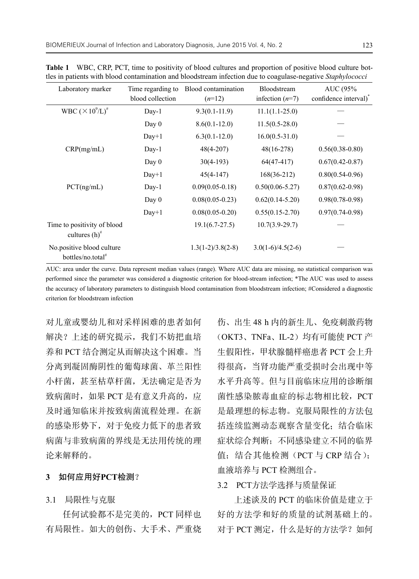| Laboratory marker                                          | Time regarding to | Blood contamination | Bloodstream         | AUC (95%                          |
|------------------------------------------------------------|-------------------|---------------------|---------------------|-----------------------------------|
|                                                            | blood collection  | $(n=12)$            | infection $(n=7)$   | confidence interval) <sup>*</sup> |
| WBC $(\times 10^9/L)^{\#}$                                 | $Day-1$           | $9.3(0.1 - 11.9)$   | $11.1(1.1-25.0)$    |                                   |
|                                                            | Day $0$           | $8.6(0.1 - 12.0)$   | $11.5(0.5-28.0)$    |                                   |
|                                                            | $Day+1$           | $6.3(0.1-12.0)$     | $16.0(0.5-31.0)$    |                                   |
| CRP(mg/mL)                                                 | Day-1             | $48(4-207)$         | $48(16-278)$        | $0.56(0.38-0.80)$                 |
|                                                            | Day $0$           | $30(4-193)$         | $64(47-417)$        | $0.67(0.42 - 0.87)$               |
|                                                            | $Day+1$           | $45(4-147)$         | $168(36-212)$       | $0.80(0.54 - 0.96)$               |
| PCT(ng/mL)                                                 | Day-1             | $0.09(0.05-0.18)$   | $0.50(0.06 - 5.27)$ | $0.87(0.62 - 0.98)$               |
|                                                            | Day $0$           | $0.08(0.05 - 0.23)$ | $0.62(0.14-5.20)$   | $0.98(0.78 - 0.98)$               |
|                                                            | $Day+1$           | $0.08(0.05-0.20)$   | $0.55(0.15-2.70)$   | $0.97(0.74 - 0.98)$               |
| Time to positivity of blood<br>cultures $(h)^{\#}$         |                   | $19.1(6.7-27.5)$    | $10.7(3.9-29.7)$    |                                   |
| No.positive blood culture<br>bottles/no.total <sup>#</sup> |                   | $1.3(1-2)/3.8(2-8)$ | $3.0(1-6)/4.5(2-6)$ |                                   |

**Table 1** WBC, CRP, PCT, time to positivity of blood cultures and proportion of positive blood culture bottles in patients with blood contamination and bloodstream infection due to coagulase-negative *Staphylococci*

AUC: area under the curve. Data represent median values (range). Where AUC data are missing, no statistical comparison was performed since the parameter was considered a diagnostic criterion for blood-stream infection; \*The AUC was used to assess the accuracy of laboratory parameters to distinguish blood contamination from bloodstream infection; #Considered a diagnostic criterion for bloodstream infection

对儿童或婴幼儿和对采样困难的患者如何 解决?上述的研究提示,我们不妨把血培 养和 PCT 结合测定从而解决这个困难。当 分离到凝固酶阴性的葡萄球菌、革兰阳性 小杆菌, 甚至枯草杆菌, 无法确定是否为 致病菌时,如果 PCT 是有意义升高的,应 及时通知临床并按致病菌流程处理。在新 的感染形势下,对于免疫力低下的患者致 病菌与非致病菌的界线是无法用传统的理 论来解释的。

### **3** 如何应用好**PCT**检测?

3.1 局限性与克服

任何试验都不是完美的,PCT 同样也 有局限性。如大的创伤、大手术、严重烧 伤、出生 48 h 内的新生儿、免疫刺激药物 (OKT3、TNFa、IL-2)均有可能使 PCT 产 生假阳性,甲状腺髓样癌患者 PCT 会上升 得很高,当肾功能严重受损时会出现中等 水平升高等。但与目前临床应用的诊断细 菌性感染脓毒血症的标志物相比较,PCT 是最理想的标志物。克服局限性的方法包 括连续监测动态观察含量变化;结合临床 症状综合判断;不同感染建立不同的临界 值;结合其他检测(PCT 与 CRP 结合); 血液培养与 PCT 检测组合。

3.2 PCT方法学选择与质量保证

上述谈及的 PCT 的临床价值是建立于 好的方法学和好的质量的试剂基础上的。 对于 PCT 测定, 什么是好的方法学?如何